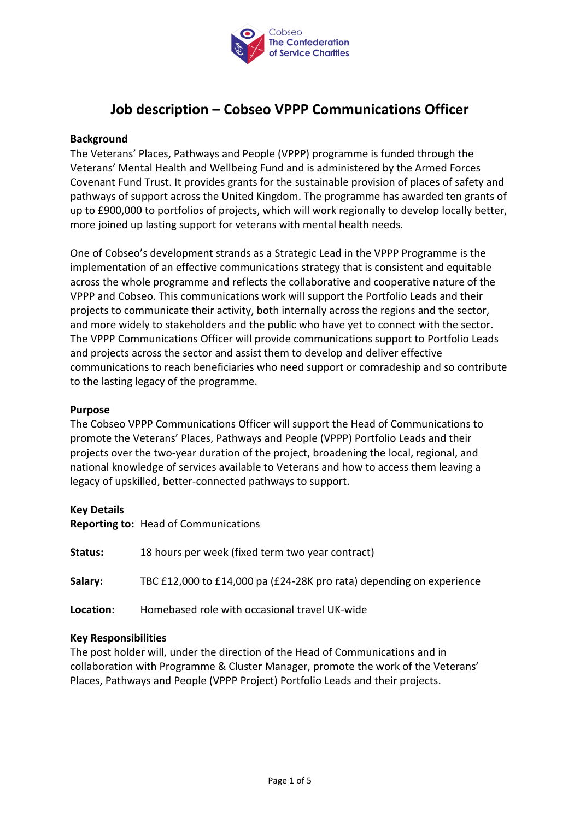

## **Job description – Cobseo VPPP Communications Officer**

## **Background**

The Veterans' Places, Pathways and People (VPPP) programme is funded through the Veterans' Mental Health and Wellbeing Fund and is administered by the Armed Forces Covenant Fund Trust. It provides grants for the sustainable provision of places of safety and pathways of support across the United Kingdom. The programme has awarded ten grants of up to £900,000 to portfolios of projects, which will work regionally to develop locally better, more joined up lasting support for veterans with mental health needs.

One of Cobseo's development strands as a Strategic Lead in the VPPP Programme is the implementation of an effective communications strategy that is consistent and equitable across the whole programme and reflects the collaborative and cooperative nature of the VPPP and Cobseo. This communications work will support the Portfolio Leads and their projects to communicate their activity, both internally across the regions and the sector, and more widely to stakeholders and the public who have yet to connect with the sector. The VPPP Communications Officer will provide communications support to Portfolio Leads and projects across the sector and assist them to develop and deliver effective communications to reach beneficiaries who need support or comradeship and so contribute to the lasting legacy of the programme.

## **Purpose**

The Cobseo VPPP Communications Officer will support the Head of Communications to promote the Veterans' Places, Pathways and People (VPPP) Portfolio Leads and their projects over the two-year duration of the project, broadening the local, regional, and national knowledge of services available to Veterans and how to access them leaving a legacy of upskilled, better-connected pathways to support.

#### **Key Details**

**Reporting to:** Head of Communications

| Status:   | 18 hours per week (fixed term two year contract)                     |
|-----------|----------------------------------------------------------------------|
| Salary:   | TBC £12,000 to £14,000 pa (£24-28K pro rata) depending on experience |
| Location: | Homebased role with occasional travel UK-wide                        |

## **Key Responsibilities**

The post holder will, under the direction of the Head of Communications and in collaboration with Programme & Cluster Manager, promote the work of the Veterans' Places, Pathways and People (VPPP Project) Portfolio Leads and their projects.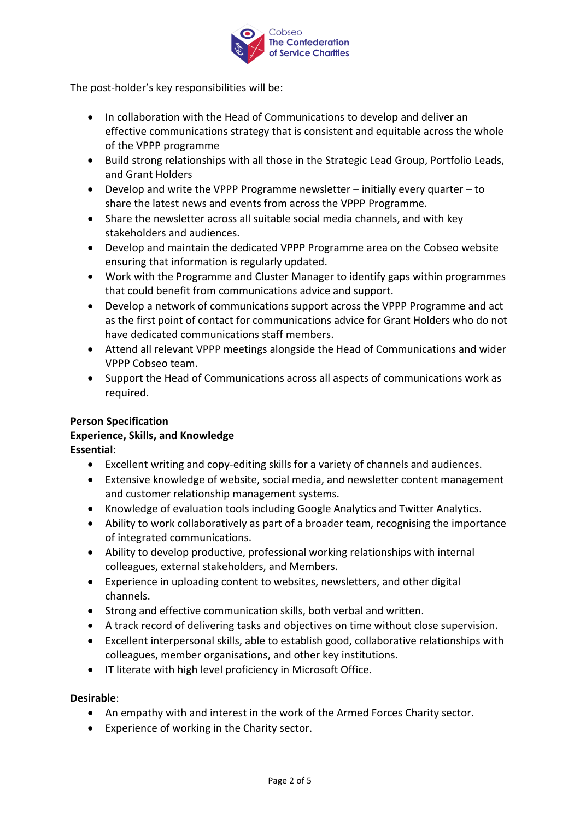

The post-holder's key responsibilities will be:

- In collaboration with the Head of Communications to develop and deliver an effective communications strategy that is consistent and equitable across the whole of the VPPP programme
- Build strong relationships with all those in the Strategic Lead Group, Portfolio Leads, and Grant Holders
- Develop and write the VPPP Programme newsletter initially every quarter to share the latest news and events from across the VPPP Programme.
- Share the newsletter across all suitable social media channels, and with key stakeholders and audiences.
- Develop and maintain the dedicated VPPP Programme area on the Cobseo website ensuring that information is regularly updated.
- Work with the Programme and Cluster Manager to identify gaps within programmes that could benefit from communications advice and support.
- Develop a network of communications support across the VPPP Programme and act as the first point of contact for communications advice for Grant Holders who do not have dedicated communications staff members.
- Attend all relevant VPPP meetings alongside the Head of Communications and wider VPPP Cobseo team.
- Support the Head of Communications across all aspects of communications work as required.

# **Person Specification**

## **Experience, Skills, and Knowledge**

**Essential**:

- Excellent writing and copy-editing skills for a variety of channels and audiences.
- Extensive knowledge of website, social media, and newsletter content management and customer relationship management systems.
- Knowledge of evaluation tools including Google Analytics and Twitter Analytics.
- Ability to work collaboratively as part of a broader team, recognising the importance of integrated communications.
- Ability to develop productive, professional working relationships with internal colleagues, external stakeholders, and Members.
- Experience in uploading content to websites, newsletters, and other digital channels.
- Strong and effective communication skills, both verbal and written.
- A track record of delivering tasks and objectives on time without close supervision.
- Excellent interpersonal skills, able to establish good, collaborative relationships with colleagues, member organisations, and other key institutions.
- IT literate with high level proficiency in Microsoft Office.

## **Desirable**:

- An empathy with and interest in the work of the Armed Forces Charity sector.
- Experience of working in the Charity sector.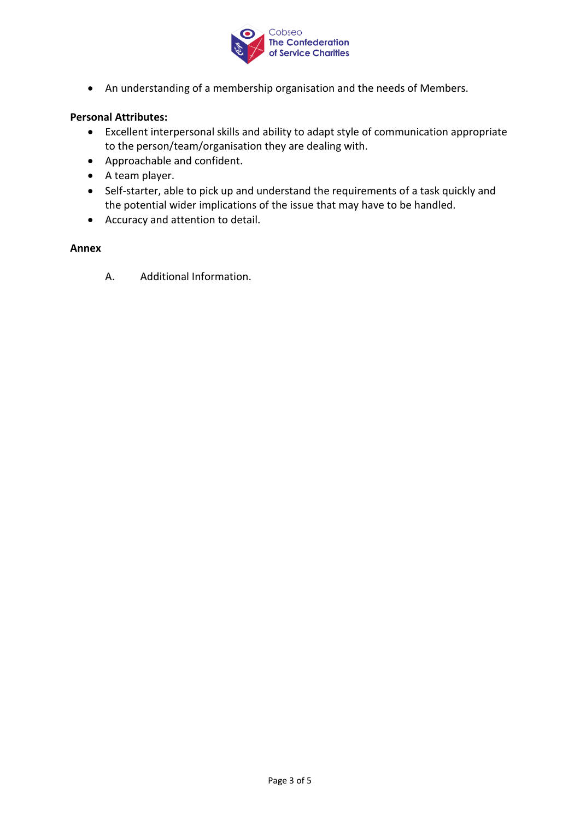

• An understanding of a membership organisation and the needs of Members.

## **Personal Attributes:**

- Excellent interpersonal skills and ability to adapt style of communication appropriate to the person/team/organisation they are dealing with.
- Approachable and confident.
- A team player.
- Self-starter, able to pick up and understand the requirements of a task quickly and the potential wider implications of the issue that may have to be handled.
- Accuracy and attention to detail.

## **Annex**

A. Additional Information.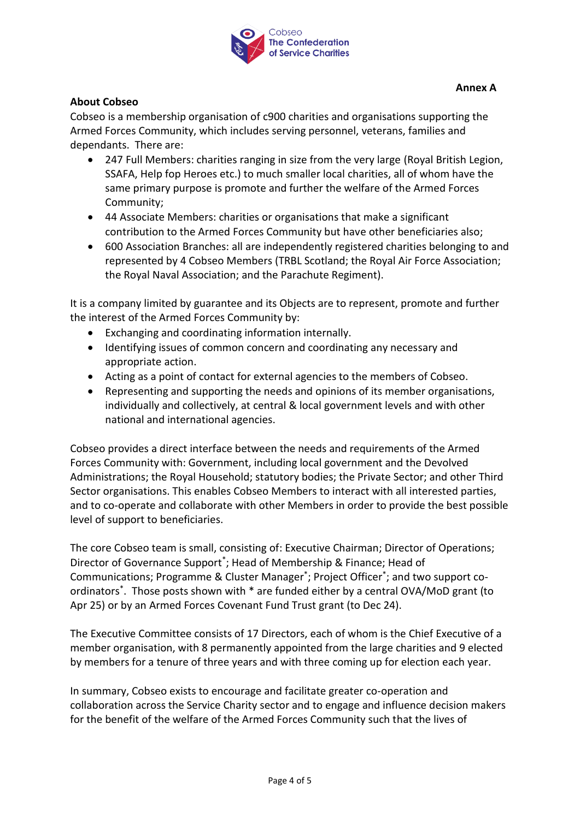

## **About Cobseo**

Cobseo is a membership organisation of c900 charities and organisations supporting the Armed Forces Community, which includes serving personnel, veterans, families and dependants. There are:

- 247 Full Members: charities ranging in size from the very large (Royal British Legion, SSAFA, Help fop Heroes etc.) to much smaller local charities, all of whom have the same primary purpose is promote and further the welfare of the Armed Forces Community;
- 44 Associate Members: charities or organisations that make a significant contribution to the Armed Forces Community but have other beneficiaries also;
- 600 Association Branches: all are independently registered charities belonging to and represented by 4 Cobseo Members (TRBL Scotland; the Royal Air Force Association; the Royal Naval Association; and the Parachute Regiment).

It is a company limited by guarantee and its Objects are to represent, promote and further the interest of the Armed Forces Community by:

- Exchanging and coordinating information internally.
- Identifying issues of common concern and coordinating any necessary and appropriate action.
- Acting as a point of contact for external agencies to the members of Cobseo.
- Representing and supporting the needs and opinions of its member organisations, individually and collectively, at central & local government levels and with other national and international agencies.

Cobseo provides a direct interface between the needs and requirements of the Armed Forces Community with: Government, including local government and the Devolved Administrations; the Royal Household; statutory bodies; the Private Sector; and other Third Sector organisations. This enables Cobseo Members to interact with all interested parties, and to co-operate and collaborate with other Members in order to provide the best possible level of support to beneficiaries.

The core Cobseo team is small, consisting of: Executive Chairman; Director of Operations; Director of Governance Support\* ; Head of Membership & Finance; Head of Communications; Programme & Cluster Manager\* ; Project Officer\* ; and two support coordinators\* . Those posts shown with \* are funded either by a central OVA/MoD grant (to Apr 25) or by an Armed Forces Covenant Fund Trust grant (to Dec 24).

The Executive Committee consists of 17 Directors, each of whom is the Chief Executive of a member organisation, with 8 permanently appointed from the large charities and 9 elected by members for a tenure of three years and with three coming up for election each year.

In summary, Cobseo exists to encourage and facilitate greater co-operation and collaboration across the Service Charity sector and to engage and influence decision makers for the benefit of the welfare of the Armed Forces Community such that the lives of